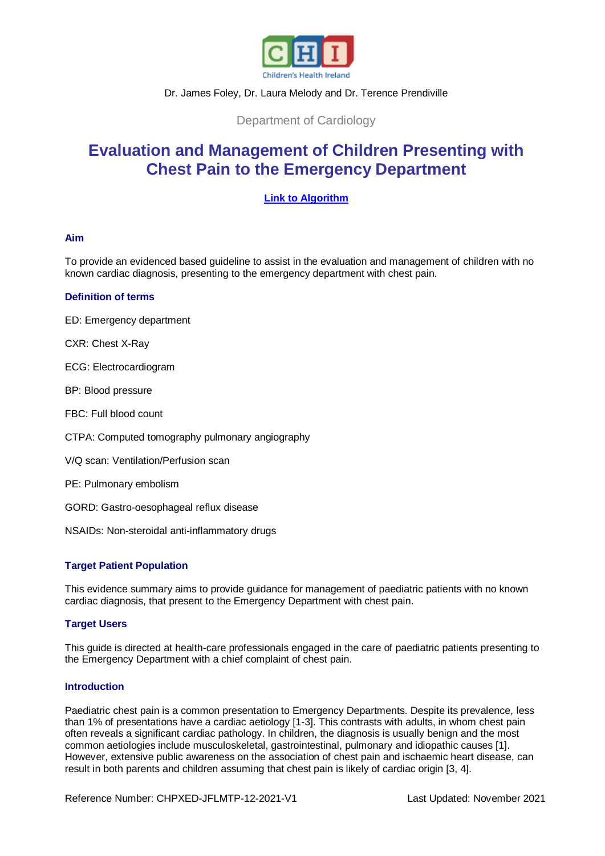

# Dr. James Foley, Dr. Laura Melody and Dr. Terence Prendiville

Department of Cardiology

# **Evaluation and Management of Children Presenting with Chest Pain to the Emergency Department**

# **[Link to Algorithm](https://www.olchc.ie/healthcare-professionals/clinical-guidelines/clinical-guidelines-hyperlink-files/chest-pain-algorithm.pdf)**

# **Aim**

To provide an evidenced based guideline to assist in the evaluation and management of children with no known cardiac diagnosis, presenting to the emergency department with chest pain.

# **Definition of terms**

ED: Emergency department

CXR: Chest X-Ray

ECG: Electrocardiogram

BP: Blood pressure

FBC: Full blood count

CTPA: Computed tomography pulmonary angiography

V/Q scan: Ventilation/Perfusion scan

PE: Pulmonary embolism

GORD: Gastro-oesophageal reflux disease

NSAIDs: Non-steroidal anti-inflammatory drugs

# **Target Patient Population**

This evidence summary aims to provide guidance for management of paediatric patients with no known cardiac diagnosis, that present to the Emergency Department with chest pain.

# **Target Users**

This guide is directed at health-care professionals engaged in the care of paediatric patients presenting to the Emergency Department with a chief complaint of chest pain.

## **Introduction**

Paediatric chest pain is a common presentation to Emergency Departments. Despite its prevalence, less than 1% of presentations have a cardiac aetiology [1-3]. This contrasts with adults, in whom chest pain often reveals a significant cardiac pathology. In children, the diagnosis is usually benign and the most common aetiologies include musculoskeletal, gastrointestinal, pulmonary and idiopathic causes [1]. However, extensive public awareness on the association of chest pain and ischaemic heart disease, can result in both parents and children assuming that chest pain is likely of cardiac origin [3, 4].

Reference Number: CHPXED-JFLMTP-12-2021-V1 Last Updated: November 2021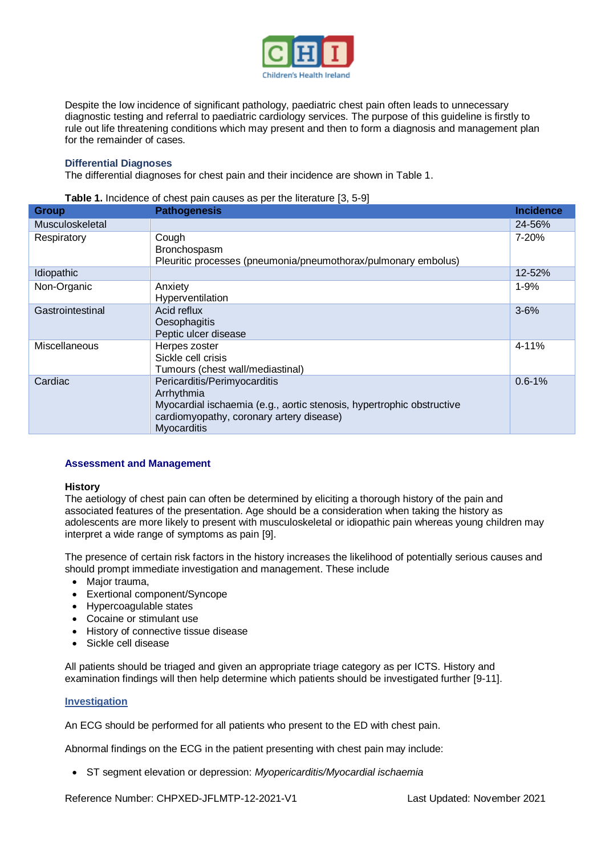

Despite the low incidence of significant pathology, paediatric chest pain often leads to unnecessary diagnostic testing and referral to paediatric cardiology services. The purpose of this guideline is firstly to rule out life threatening conditions which may present and then to form a diagnosis and management plan for the remainder of cases.

## **Differential Diagnoses**

The differential diagnoses for chest pain and their incidence are shown in Table 1.

| Table 1. Incidence of chest pain causes as per the literature [3, 5-9] |  |  |
|------------------------------------------------------------------------|--|--|
|                                                                        |  |  |

| <b>Group</b>     | <b>Pathogenesis</b>                                                                                                                                                                   | <b>Incidence</b> |
|------------------|---------------------------------------------------------------------------------------------------------------------------------------------------------------------------------------|------------------|
| Musculoskeletal  |                                                                                                                                                                                       | 24-56%           |
| Respiratory      | Cough<br>Bronchospasm<br>Pleuritic processes (pneumonia/pneumothorax/pulmonary embolus)                                                                                               | $7 - 20%$        |
| Idiopathic       |                                                                                                                                                                                       | 12-52%           |
| Non-Organic      | Anxiety<br>Hyperventilation                                                                                                                                                           | $1 - 9%$         |
| Gastrointestinal | Acid reflux<br>Oesophagitis<br>Peptic ulcer disease                                                                                                                                   | $3 - 6%$         |
| Miscellaneous    | Herpes zoster<br>Sickle cell crisis<br>Tumours (chest wall/mediastinal)                                                                                                               | 4-11%            |
| Cardiac          | Pericarditis/Perimyocarditis<br>Arrhythmia<br>Myocardial ischaemia (e.g., aortic stenosis, hypertrophic obstructive<br>cardiomyopathy, coronary artery disease)<br><b>Myocarditis</b> | $0.6 - 1%$       |

#### **Assessment and Management**

#### **History**

The aetiology of chest pain can often be determined by eliciting a thorough history of the pain and associated features of the presentation. Age should be a consideration when taking the history as adolescents are more likely to present with musculoskeletal or idiopathic pain whereas young children may interpret a wide range of symptoms as pain [9].

The presence of certain risk factors in the history increases the likelihood of potentially serious causes and should prompt immediate investigation and management. These include

- Major trauma,
- Exertional component/Syncope
- Hypercoagulable states
- Cocaine or stimulant use
- History of connective tissue disease
- Sickle cell disease

All patients should be triaged and given an appropriate triage category as per ICTS. History and examination findings will then help determine which patients should be investigated further [9-11].

#### **Investigation**

An ECG should be performed for all patients who present to the ED with chest pain.

Abnormal findings on the ECG in the patient presenting with chest pain may include:

ST segment elevation or depression: *Myopericarditis/Myocardial ischaemia*

Reference Number: CHPXED-JFLMTP-12-2021-V1 Last Updated: November 2021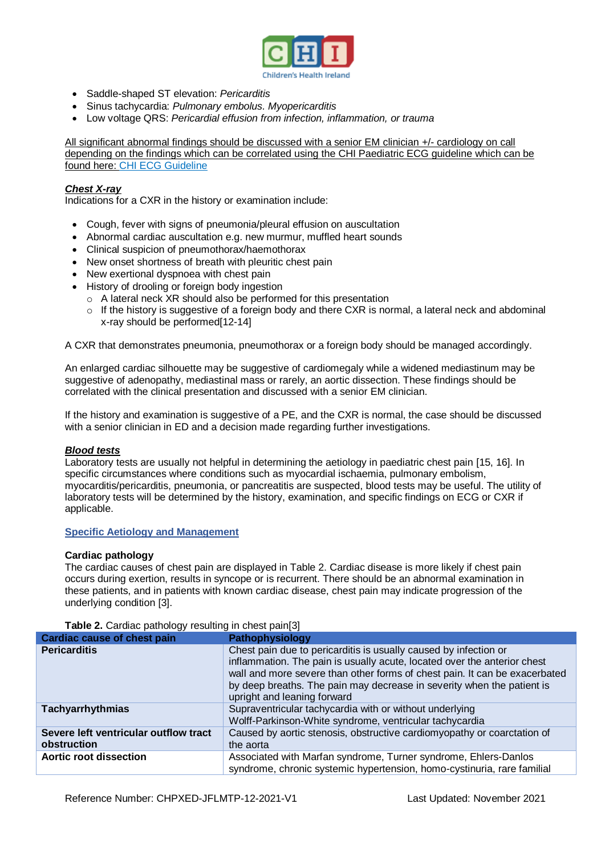

- Saddle-shaped ST elevation: *Pericarditis*
- Sinus tachycardia: *Pulmonary embolus. Myopericarditis*
- Low voltage QRS: *Pericardial effusion from infection, inflammation, or trauma*

All significant abnormal findings should be discussed with a senior EM clinician +/- cardiology on call depending on the findings which can be correlated using the CHI Paediatric ECG guideline which can be found here: [CHI ECG Guideline](https://www.olchc.ie/healthcare-professionals/clinical-guidelines/ecg.pdf)

# *Chest X-ray*

Indications for a CXR in the history or examination include:

- Cough, fever with signs of pneumonia/pleural effusion on auscultation
- Abnormal cardiac auscultation e.g. new murmur, muffled heart sounds
- Clinical suspicion of pneumothorax/haemothorax
- New onset shortness of breath with pleuritic chest pain
- New exertional dyspnoea with chest pain
- History of drooling or foreign body ingestion
	- o A lateral neck XR should also be performed for this presentation
	- o If the history is suggestive of a foreign body and there CXR is normal, a lateral neck and abdominal x-ray should be performed[12-14]

A CXR that demonstrates pneumonia, pneumothorax or a foreign body should be managed accordingly.

An enlarged cardiac silhouette may be suggestive of cardiomegaly while a widened mediastinum may be suggestive of adenopathy, mediastinal mass or rarely, an aortic dissection. These findings should be correlated with the clinical presentation and discussed with a senior EM clinician.

If the history and examination is suggestive of a PE, and the CXR is normal, the case should be discussed with a senior clinician in ED and a decision made regarding further investigations.

#### *Blood tests*

Laboratory tests are usually not helpful in determining the aetiology in paediatric chest pain [15, 16]. In specific circumstances where conditions such as myocardial ischaemia, pulmonary embolism, myocarditis/pericarditis, pneumonia, or pancreatitis are suspected, blood tests may be useful. The utility of laboratory tests will be determined by the history, examination, and specific findings on ECG or CXR if applicable.

## **Specific Aetiology and Management**

#### **Cardiac pathology**

The cardiac causes of chest pain are displayed in Table 2. Cardiac disease is more likely if chest pain occurs during exertion, results in syncope or is recurrent. There should be an abnormal examination in these patients, and in patients with known cardiac disease, chest pain may indicate progression of the underlying condition [3].

| <b>Cardiac cause of chest pain</b>                   | Pathophysiology                                                                                                                                                                                                                                                                                                                     |
|------------------------------------------------------|-------------------------------------------------------------------------------------------------------------------------------------------------------------------------------------------------------------------------------------------------------------------------------------------------------------------------------------|
| <b>Pericarditis</b>                                  | Chest pain due to pericarditis is usually caused by infection or<br>inflammation. The pain is usually acute, located over the anterior chest<br>wall and more severe than other forms of chest pain. It can be exacerbated<br>by deep breaths. The pain may decrease in severity when the patient is<br>upright and leaning forward |
| <b>Tachyarrhythmias</b>                              | Supraventricular tachycardia with or without underlying<br>Wolff-Parkinson-White syndrome, ventricular tachycardia                                                                                                                                                                                                                  |
| Severe left ventricular outflow tract<br>obstruction | Caused by aortic stenosis, obstructive cardiomyopathy or coarctation of<br>the aorta                                                                                                                                                                                                                                                |
| Aortic root dissection                               | Associated with Marfan syndrome, Turner syndrome, Ehlers-Danlos<br>syndrome, chronic systemic hypertension, homo-cystinuria, rare familial                                                                                                                                                                                          |

**Table 2.** Cardiac pathology resulting in chest pain[3]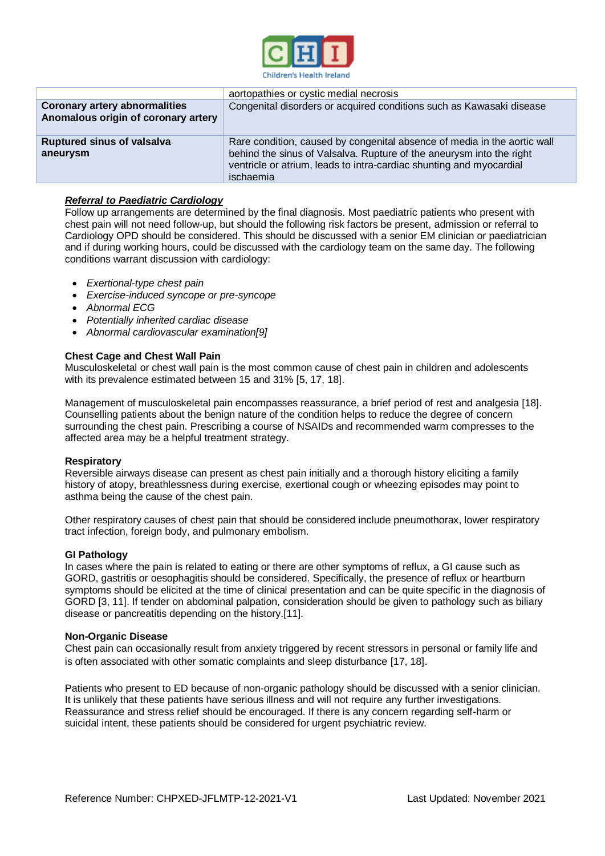

|                                                                             | aortopathies or cystic medial necrosis                                                                                                                                                                                               |
|-----------------------------------------------------------------------------|--------------------------------------------------------------------------------------------------------------------------------------------------------------------------------------------------------------------------------------|
| <b>Coronary artery abnormalities</b><br>Anomalous origin of coronary artery | Congenital disorders or acquired conditions such as Kawasaki disease                                                                                                                                                                 |
| <b>Ruptured sinus of valsalva</b><br>aneurysm                               | Rare condition, caused by congenital absence of media in the aortic wall<br>behind the sinus of Valsalva. Rupture of the aneurysm into the right<br>ventricle or atrium, leads to intra-cardiac shunting and myocardial<br>ischaemia |

## *Referral to Paediatric Cardiology*

Follow up arrangements are determined by the final diagnosis. Most paediatric patients who present with chest pain will not need follow-up, but should the following risk factors be present, admission or referral to Cardiology OPD should be considered. This should be discussed with a senior EM clinician or paediatrician and if during working hours, could be discussed with the cardiology team on the same day. The following conditions warrant discussion with cardiology:

- *Exertional-type chest pain*
- *Exercise-induced syncope or pre-syncope*
- *Abnormal ECG*
- *Potentially inherited cardiac disease*
- *Abnormal cardiovascular examination[9]*

#### **Chest Cage and Chest Wall Pain**

Musculoskeletal or chest wall pain is the most common cause of chest pain in children and adolescents with its prevalence estimated between 15 and 31% [5, 17, 18].

Management of musculoskeletal pain encompasses reassurance, a brief period of rest and analgesia [18]. Counselling patients about the benign nature of the condition helps to reduce the degree of concern surrounding the chest pain. Prescribing a course of NSAIDs and recommended warm compresses to the affected area may be a helpful treatment strategy.

#### **Respiratory**

Reversible airways disease can present as chest pain initially and a thorough history eliciting a family history of atopy, breathlessness during exercise, exertional cough or wheezing episodes may point to asthma being the cause of the chest pain.

Other respiratory causes of chest pain that should be considered include pneumothorax, lower respiratory tract infection, foreign body, and pulmonary embolism.

#### **GI Pathology**

In cases where the pain is related to eating or there are other symptoms of reflux, a GI cause such as GORD, gastritis or oesophagitis should be considered. Specifically, the presence of reflux or heartburn symptoms should be elicited at the time of clinical presentation and can be quite specific in the diagnosis of GORD [3, 11]. If tender on abdominal palpation, consideration should be given to pathology such as biliary disease or pancreatitis depending on the history.[11].

#### **Non-Organic Disease**

Chest pain can occasionally result from anxiety triggered by recent stressors in personal or family life and is often associated with other somatic complaints and sleep disturbance [17, 18].

Patients who present to ED because of non-organic pathology should be discussed with a senior clinician. It is unlikely that these patients have serious illness and will not require any further investigations. Reassurance and stress relief should be encouraged. If there is any concern regarding self-harm or suicidal intent, these patients should be considered for urgent psychiatric review.